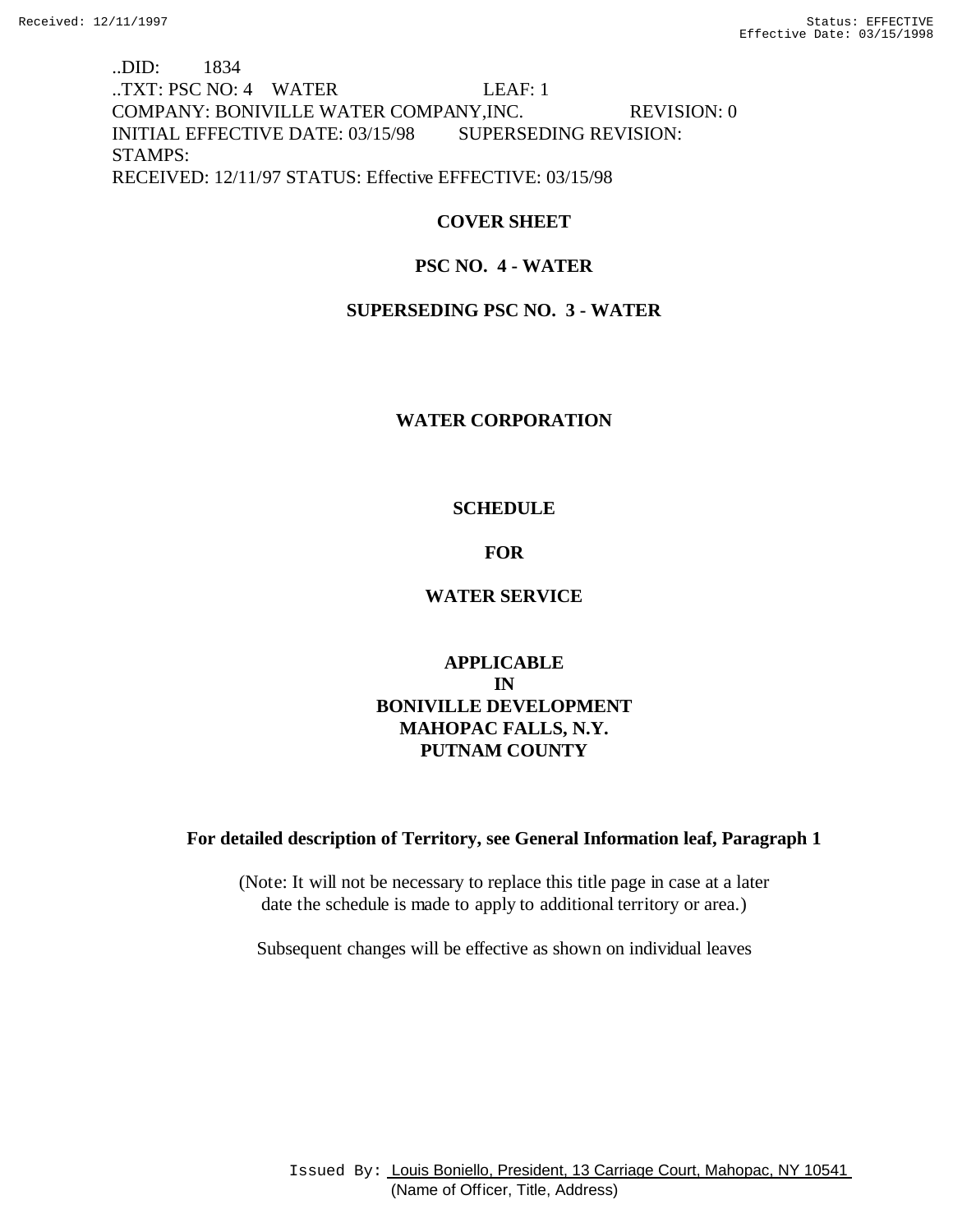..DID: 1834 ..TXT: PSC NO: 4 WATER LEAF: 1 COMPANY: BONIVILLE WATER COMPANY,INC. REVISION: 0 INITIAL EFFECTIVE DATE: 03/15/98 SUPERSEDING REVISION: STAMPS: RECEIVED: 12/11/97 STATUS: Effective EFFECTIVE: 03/15/98

# **COVER SHEET**

# **PSC NO. 4 - WATER**

# **SUPERSEDING PSC NO. 3 - WATER**

# **WATER CORPORATION**

# **SCHEDULE**

# **FOR**

# **WATER SERVICE**

# **APPLICABLE IN BONIVILLE DEVELOPMENT MAHOPAC FALLS, N.Y. PUTNAM COUNTY**

# **For detailed description of Territory, see General Information leaf, Paragraph 1**

(Note: It will not be necessary to replace this title page in case at a later date the schedule is made to apply to additional territory or area.)

Subsequent changes will be effective as shown on individual leaves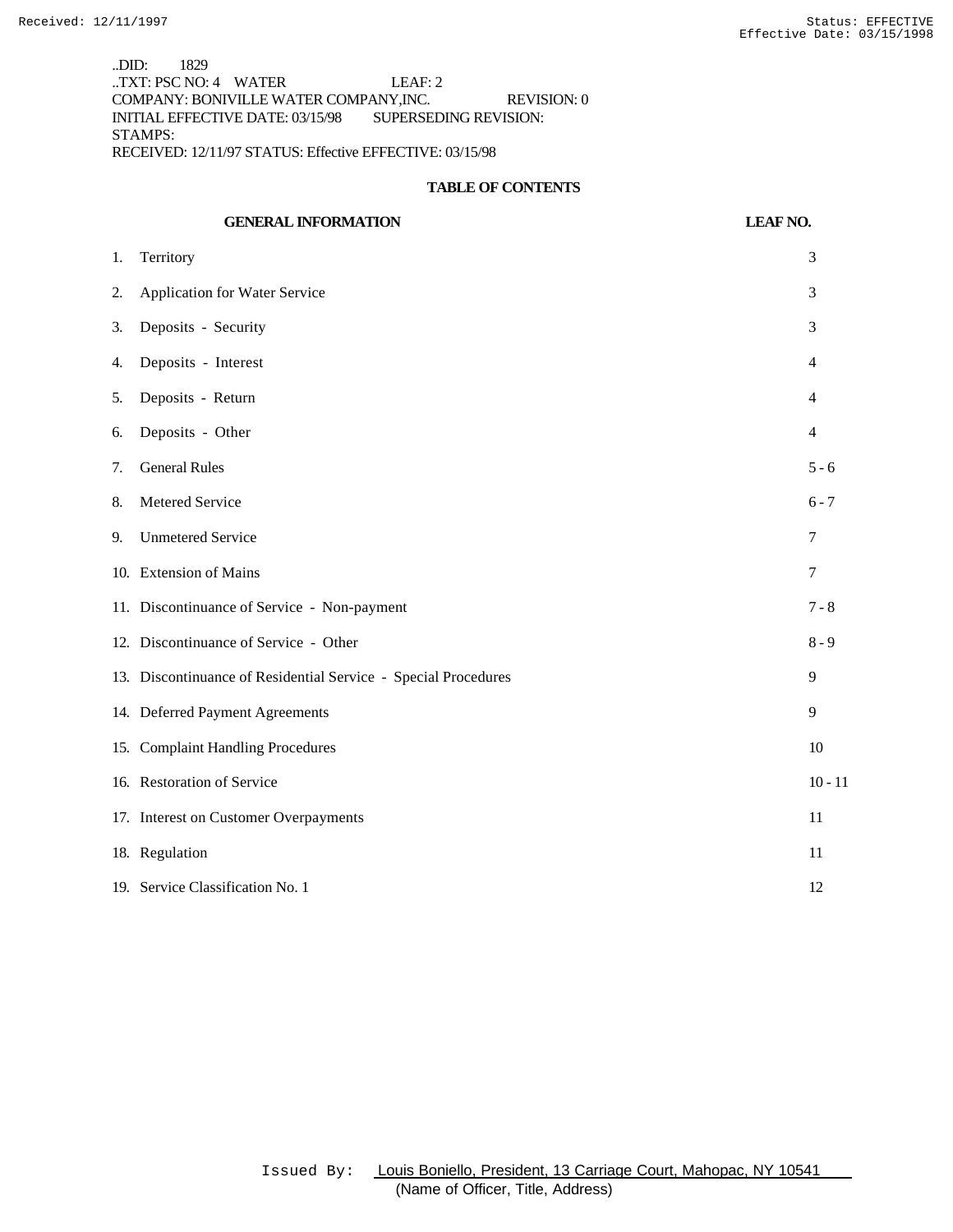..DID: 1829 ..TXT: PSC NO: 4 WATER LEAF: 2 COMPANY: BONIVILLE WATER COMPANY,INC. REVISION: 0 INITIAL EFFECTIVE DATE: 03/15/98 SUPERSEDING REVISION: STAMPS: RECEIVED: 12/11/97 STATUS: Effective EFFECTIVE: 03/15/98

## **TABLE OF CONTENTS**

|    | <b>GENERAL INFORMATION</b>                                     | <b>LEAF NO.</b> |
|----|----------------------------------------------------------------|-----------------|
| 1. | Territory                                                      | 3               |
| 2. | Application for Water Service                                  | 3               |
| 3. | Deposits - Security                                            | 3               |
| 4. | Deposits - Interest                                            | 4               |
| 5. | Deposits - Return                                              | $\overline{4}$  |
| 6. | Deposits - Other                                               | $\overline{4}$  |
| 7. | <b>General Rules</b>                                           | $5 - 6$         |
| 8. | Metered Service                                                | $6 - 7$         |
| 9. | <b>Unmetered Service</b>                                       | 7               |
|    | 10. Extension of Mains                                         | 7               |
|    | 11. Discontinuance of Service - Non-payment                    | $7 - 8$         |
|    | 12. Discontinuance of Service - Other                          | $8 - 9$         |
|    | 13. Discontinuance of Residential Service - Special Procedures | 9               |
|    | 14. Deferred Payment Agreements                                | 9               |
|    | 15. Complaint Handling Procedures                              | 10              |
|    | 16. Restoration of Service                                     | $10 - 11$       |
|    | 17. Interest on Customer Overpayments                          | 11              |
|    | 18. Regulation                                                 | 11              |
|    | 19. Service Classification No. 1                               | 12              |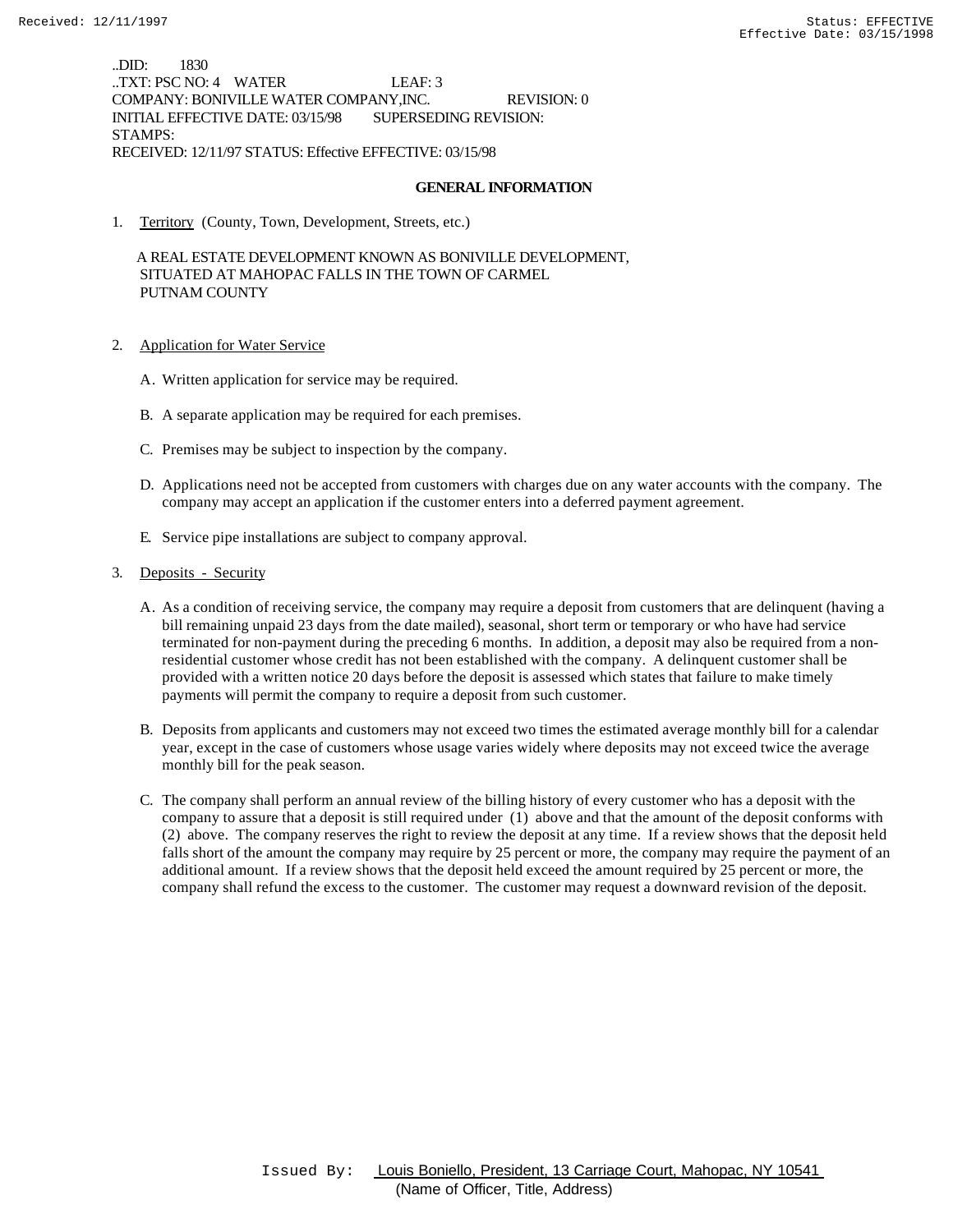..DID: 1830 ..TXT: PSC NO: 4 WATER LEAF: 3 COMPANY: BONIVILLE WATER COMPANY,INC. REVISION: 0 INITIAL EFFECTIVE DATE: 03/15/98 SUPERSEDING REVISION: STAMPS: RECEIVED: 12/11/97 STATUS: Effective EFFECTIVE: 03/15/98

## **GENERAL INFORMATION**

1. Territory (County, Town, Development, Streets, etc.)

 A REAL ESTATE DEVELOPMENT KNOWN AS BONIVILLE DEVELOPMENT, SITUATED AT MAHOPAC FALLS IN THE TOWN OF CARMEL PUTNAM COUNTY

- 2. Application for Water Service
	- A. Written application for service may be required.
	- B. A separate application may be required for each premises.
	- C. Premises may be subject to inspection by the company.
	- D. Applications need not be accepted from customers with charges due on any water accounts with the company. The company may accept an application if the customer enters into a deferred payment agreement.
	- E. Service pipe installations are subject to company approval.
- 3. Deposits Security
	- A. As a condition of receiving service, the company may require a deposit from customers that are delinquent (having a bill remaining unpaid 23 days from the date mailed), seasonal, short term or temporary or who have had service terminated for non-payment during the preceding 6 months. In addition, a deposit may also be required from a nonresidential customer whose credit has not been established with the company. A delinquent customer shall be provided with a written notice 20 days before the deposit is assessed which states that failure to make timely payments will permit the company to require a deposit from such customer.
	- B. Deposits from applicants and customers may not exceed two times the estimated average monthly bill for a calendar year, except in the case of customers whose usage varies widely where deposits may not exceed twice the average monthly bill for the peak season.
	- C. The company shall perform an annual review of the billing history of every customer who has a deposit with the company to assure that a deposit is still required under (1) above and that the amount of the deposit conforms with (2) above. The company reserves the right to review the deposit at any time. If a review shows that the deposit held falls short of the amount the company may require by 25 percent or more, the company may require the payment of an additional amount. If a review shows that the deposit held exceed the amount required by 25 percent or more, the company shall refund the excess to the customer. The customer may request a downward revision of the deposit.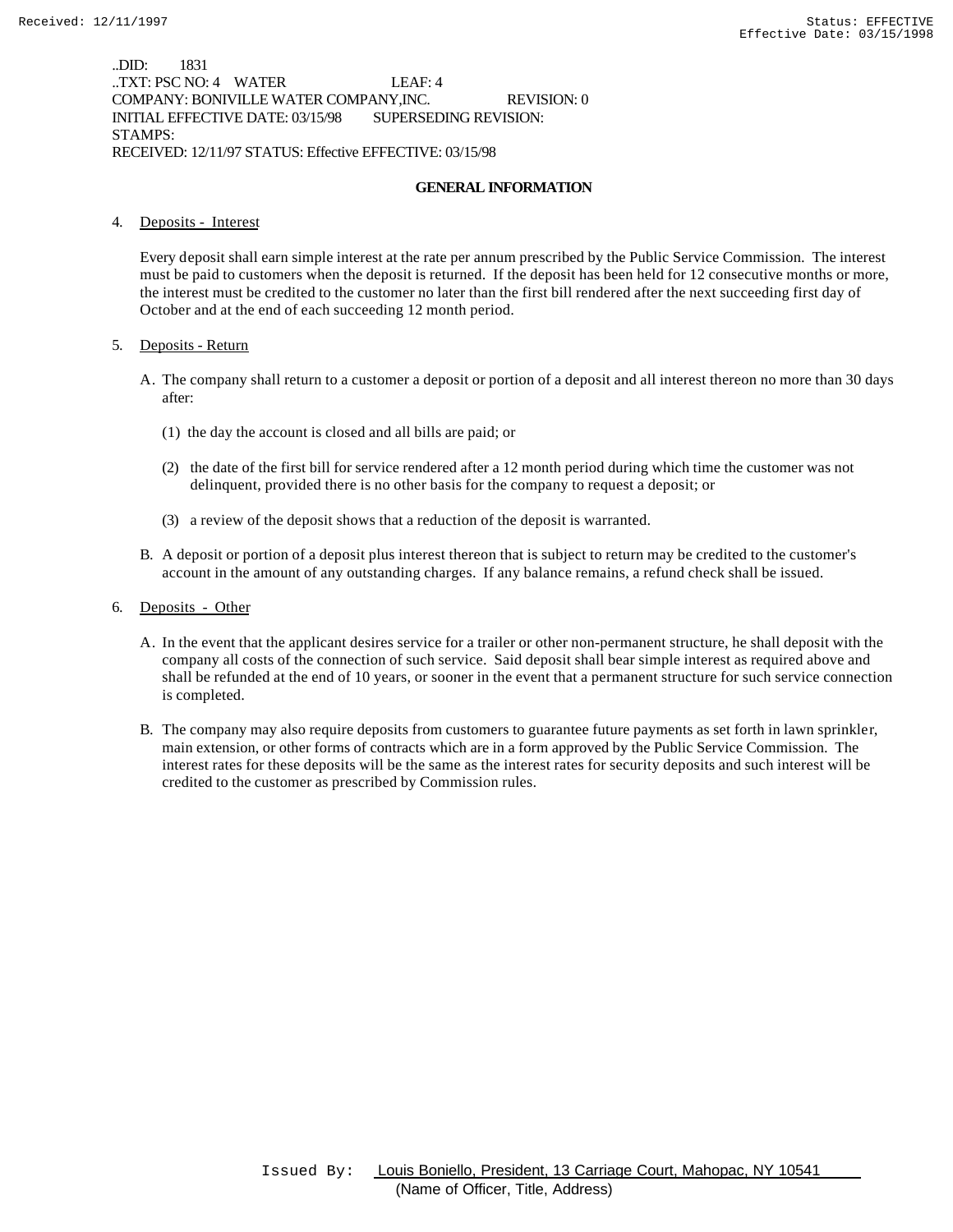..DID: 1831 ..TXT: PSC NO: 4 WATER LEAF: 4 COMPANY: BONIVILLE WATER COMPANY,INC. REVISION: 0 INITIAL EFFECTIVE DATE: 03/15/98 SUPERSEDING REVISION: STAMPS: RECEIVED: 12/11/97 STATUS: Effective EFFECTIVE: 03/15/98

## **GENERAL INFORMATION**

## 4. Deposits - Interest

Every deposit shall earn simple interest at the rate per annum prescribed by the Public Service Commission. The interest must be paid to customers when the deposit is returned. If the deposit has been held for 12 consecutive months or more, the interest must be credited to the customer no later than the first bill rendered after the next succeeding first day of October and at the end of each succeeding 12 month period.

## 5. Deposits - Return

- A. The company shall return to a customer a deposit or portion of a deposit and all interest thereon no more than 30 days after:
	- (1) the day the account is closed and all bills are paid; or
	- (2) the date of the first bill for service rendered after a 12 month period during which time the customer was not delinquent, provided there is no other basis for the company to request a deposit; or
	- (3) a review of the deposit shows that a reduction of the deposit is warranted.
- B. A deposit or portion of a deposit plus interest thereon that is subject to return may be credited to the customer's account in the amount of any outstanding charges. If any balance remains, a refund check shall be issued.
- 6. Deposits Other
	- A. In the event that the applicant desires service for a trailer or other non-permanent structure, he shall deposit with the company all costs of the connection of such service. Said deposit shall bear simple interest as required above and shall be refunded at the end of 10 years, or sooner in the event that a permanent structure for such service connection is completed.
	- B. The company may also require deposits from customers to guarantee future payments as set forth in lawn sprinkler, main extension, or other forms of contracts which are in a form approved by the Public Service Commission. The interest rates for these deposits will be the same as the interest rates for security deposits and such interest will be credited to the customer as prescribed by Commission rules.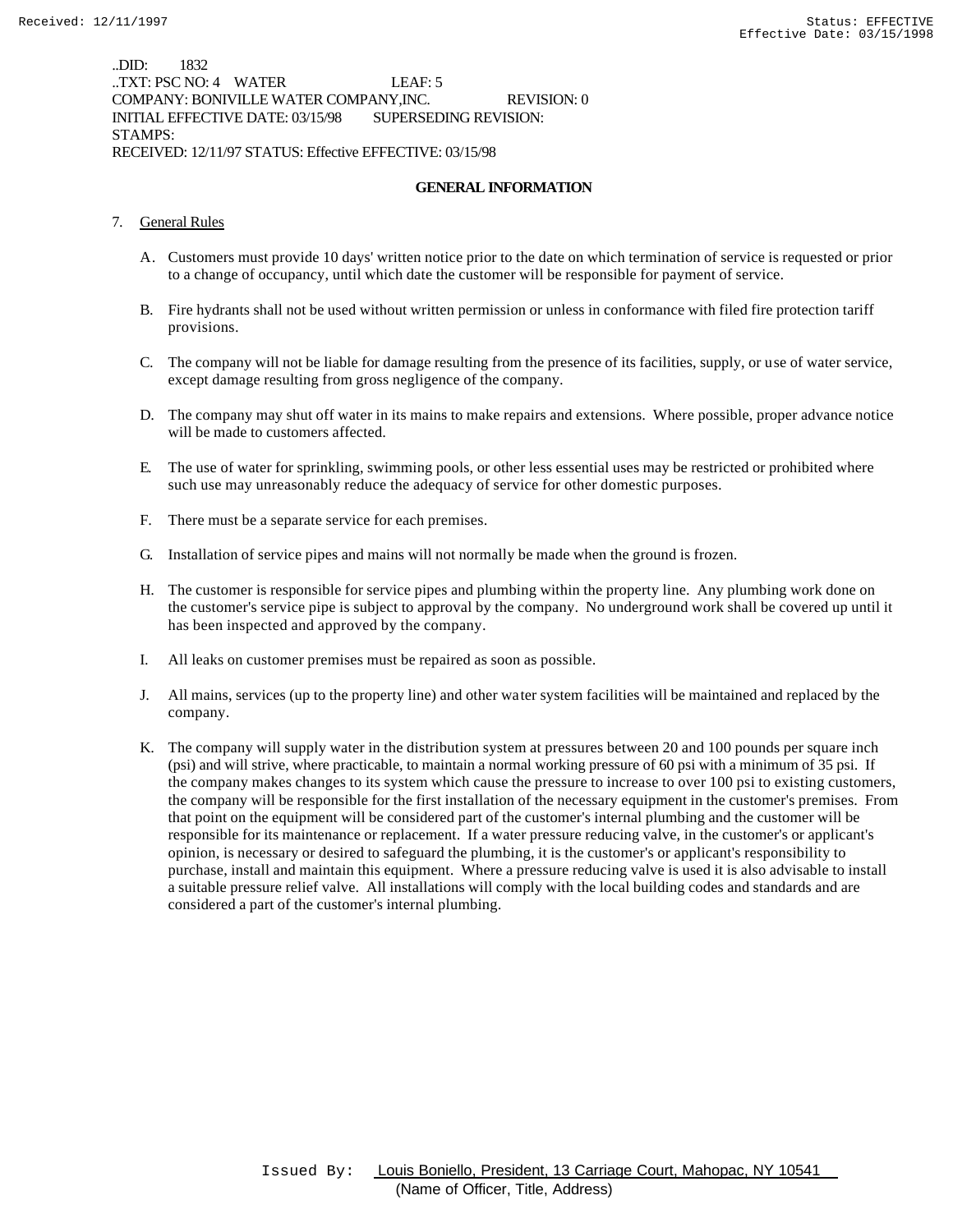..DID: 1832 ..TXT: PSC NO: 4 WATER LEAF: 5 COMPANY: BONIVILLE WATER COMPANY,INC. REVISION: 0 INITIAL EFFECTIVE DATE: 03/15/98 SUPERSEDING REVISION: STAMPS: RECEIVED: 12/11/97 STATUS: Effective EFFECTIVE: 03/15/98

## **GENERAL INFORMATION**

- 7. General Rules
	- A. Customers must provide 10 days' written notice prior to the date on which termination of service is requested or prior to a change of occupancy, until which date the customer will be responsible for payment of service.
	- B. Fire hydrants shall not be used without written permission or unless in conformance with filed fire protection tariff provisions.
	- C. The company will not be liable for damage resulting from the presence of its facilities, supply, or use of water service, except damage resulting from gross negligence of the company.
	- D. The company may shut off water in its mains to make repairs and extensions. Where possible, proper advance notice will be made to customers affected.
	- E. The use of water for sprinkling, swimming pools, or other less essential uses may be restricted or prohibited where such use may unreasonably reduce the adequacy of service for other domestic purposes.
	- F. There must be a separate service for each premises.
	- G. Installation of service pipes and mains will not normally be made when the ground is frozen.
	- H. The customer is responsible for service pipes and plumbing within the property line. Any plumbing work done on the customer's service pipe is subject to approval by the company. No underground work shall be covered up until it has been inspected and approved by the company.
	- I. All leaks on customer premises must be repaired as soon as possible.
	- J. All mains, services (up to the property line) and other water system facilities will be maintained and replaced by the company.
	- K. The company will supply water in the distribution system at pressures between 20 and 100 pounds per square inch (psi) and will strive, where practicable, to maintain a normal working pressure of 60 psi with a minimum of 35 psi. If the company makes changes to its system which cause the pressure to increase to over 100 psi to existing customers, the company will be responsible for the first installation of the necessary equipment in the customer's premises. From that point on the equipment will be considered part of the customer's internal plumbing and the customer will be responsible for its maintenance or replacement. If a water pressure reducing valve, in the customer's or applicant's opinion, is necessary or desired to safeguard the plumbing, it is the customer's or applicant's responsibility to purchase, install and maintain this equipment. Where a pressure reducing valve is used it is also advisable to install a suitable pressure relief valve. All installations will comply with the local building codes and standards and are considered a part of the customer's internal plumbing.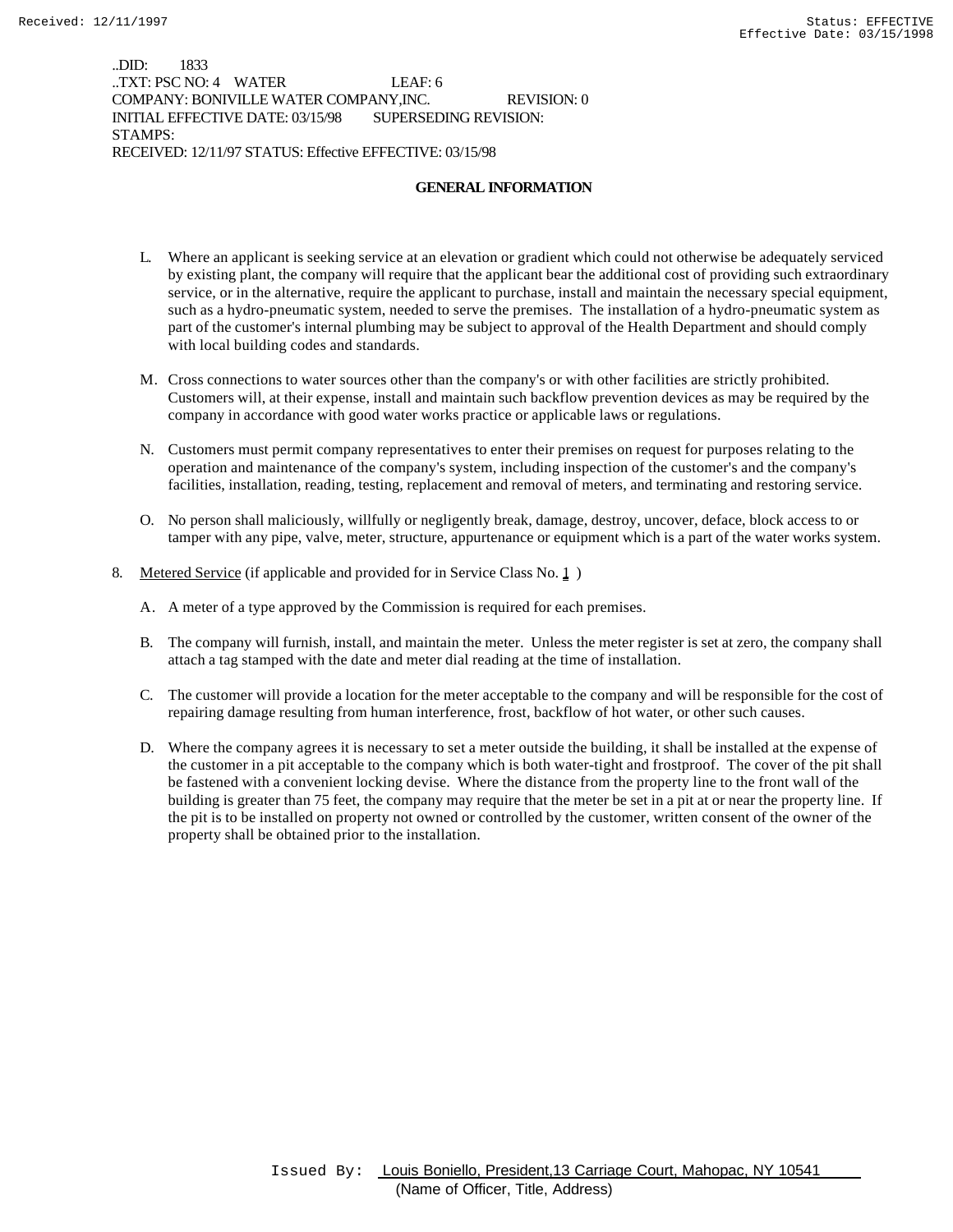..DID: 1833 ..TXT: PSC NO: 4 WATER LEAF: 6 COMPANY: BONIVILLE WATER COMPANY,INC. REVISION: 0 INITIAL EFFECTIVE DATE: 03/15/98 SUPERSEDING REVISION: STAMPS: RECEIVED: 12/11/97 STATUS: Effective EFFECTIVE: 03/15/98

### **GENERAL INFORMATION**

- L. Where an applicant is seeking service at an elevation or gradient which could not otherwise be adequately serviced by existing plant, the company will require that the applicant bear the additional cost of providing such extraordinary service, or in the alternative, require the applicant to purchase, install and maintain the necessary special equipment, such as a hydro-pneumatic system, needed to serve the premises. The installation of a hydro-pneumatic system as part of the customer's internal plumbing may be subject to approval of the Health Department and should comply with local building codes and standards.
- M. Cross connections to water sources other than the company's or with other facilities are strictly prohibited. Customers will, at their expense, install and maintain such backflow prevention devices as may be required by the company in accordance with good water works practice or applicable laws or regulations.
- N. Customers must permit company representatives to enter their premises on request for purposes relating to the operation and maintenance of the company's system, including inspection of the customer's and the company's facilities, installation, reading, testing, replacement and removal of meters, and terminating and restoring service.
- O. No person shall maliciously, willfully or negligently break, damage, destroy, uncover, deface, block access to or tamper with any pipe, valve, meter, structure, appurtenance or equipment which is a part of the water works system.
- 8. Metered Service (if applicable and provided for in Service Class No. 1)
	- A. A meter of a type approved by the Commission is required for each premises.
	- B. The company will furnish, install, and maintain the meter. Unless the meter register is set at zero, the company shall attach a tag stamped with the date and meter dial reading at the time of installation.
	- C. The customer will provide a location for the meter acceptable to the company and will be responsible for the cost of repairing damage resulting from human interference, frost, backflow of hot water, or other such causes.
	- D. Where the company agrees it is necessary to set a meter outside the building, it shall be installed at the expense of the customer in a pit acceptable to the company which is both water-tight and frostproof. The cover of the pit shall be fastened with a convenient locking devise. Where the distance from the property line to the front wall of the building is greater than 75 feet, the company may require that the meter be set in a pit at or near the property line. If the pit is to be installed on property not owned or controlled by the customer, written consent of the owner of the property shall be obtained prior to the installation.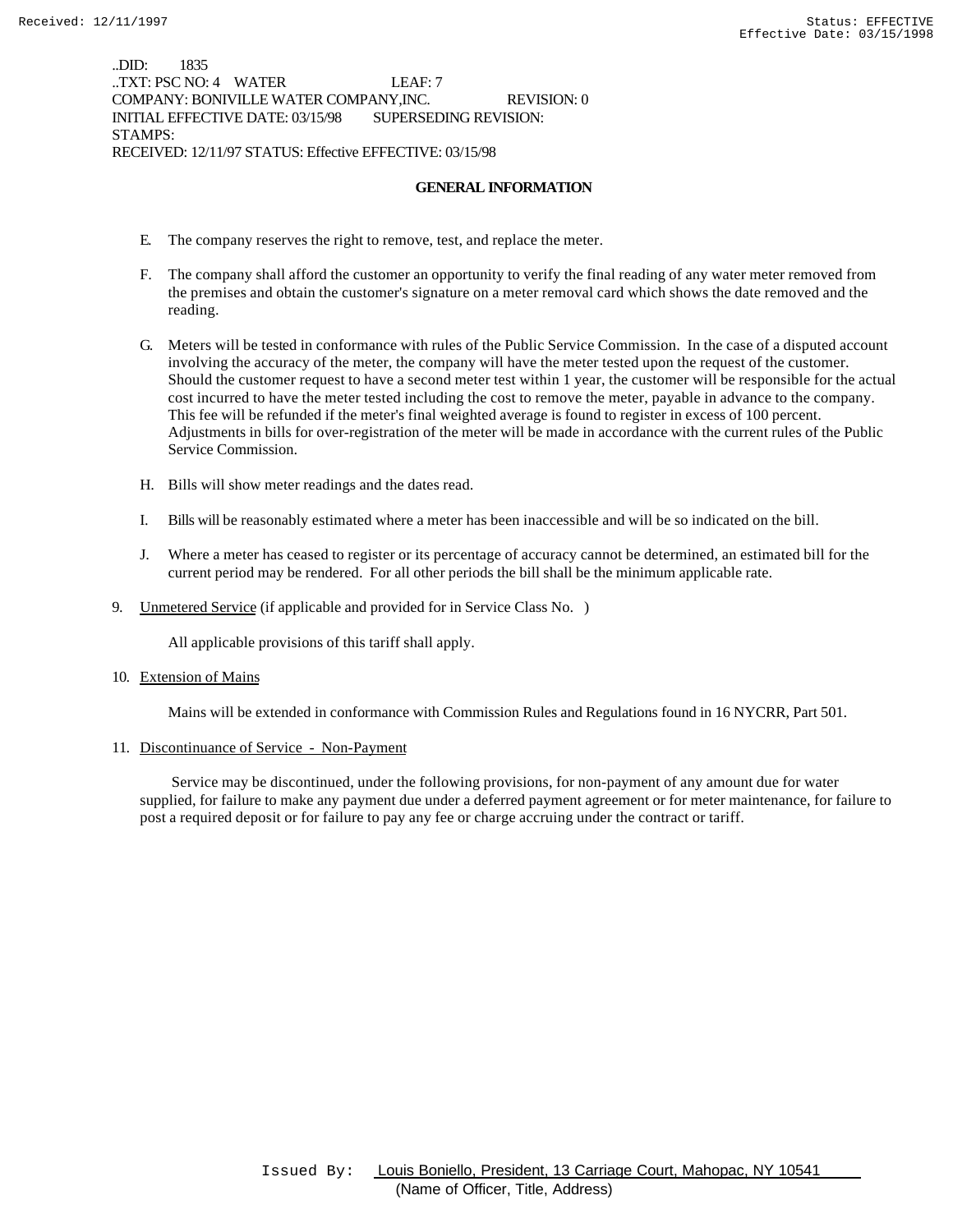..DID: 1835 ..TXT: PSC NO: 4 WATER LEAF: 7 COMPANY: BONIVILLE WATER COMPANY,INC. REVISION: 0 INITIAL EFFECTIVE DATE: 03/15/98 SUPERSEDING REVISION: STAMPS: RECEIVED: 12/11/97 STATUS: Effective EFFECTIVE: 03/15/98

## **GENERAL INFORMATION**

- E. The company reserves the right to remove, test, and replace the meter.
- F. The company shall afford the customer an opportunity to verify the final reading of any water meter removed from the premises and obtain the customer's signature on a meter removal card which shows the date removed and the reading.
- G. Meters will be tested in conformance with rules of the Public Service Commission. In the case of a disputed account involving the accuracy of the meter, the company will have the meter tested upon the request of the customer. Should the customer request to have a second meter test within 1 year, the customer will be responsible for the actual cost incurred to have the meter tested including the cost to remove the meter, payable in advance to the company. This fee will be refunded if the meter's final weighted average is found to register in excess of 100 percent. Adjustments in bills for over-registration of the meter will be made in accordance with the current rules of the Public Service Commission.
- H. Bills will show meter readings and the dates read.
- I. Bills will be reasonably estimated where a meter has been inaccessible and will be so indicated on the bill.
- J. Where a meter has ceased to register or its percentage of accuracy cannot be determined, an estimated bill for the current period may be rendered. For all other periods the bill shall be the minimum applicable rate.
- 9. Unmetered Service (if applicable and provided for in Service Class No. )

All applicable provisions of this tariff shall apply.

10. Extension of Mains

Mains will be extended in conformance with Commission Rules and Regulations found in 16 NYCRR, Part 501.

11. Discontinuance of Service - Non-Payment

 Service may be discontinued, under the following provisions, for non-payment of any amount due for water supplied, for failure to make any payment due under a deferred payment agreement or for meter maintenance, for failure to post a required deposit or for failure to pay any fee or charge accruing under the contract or tariff.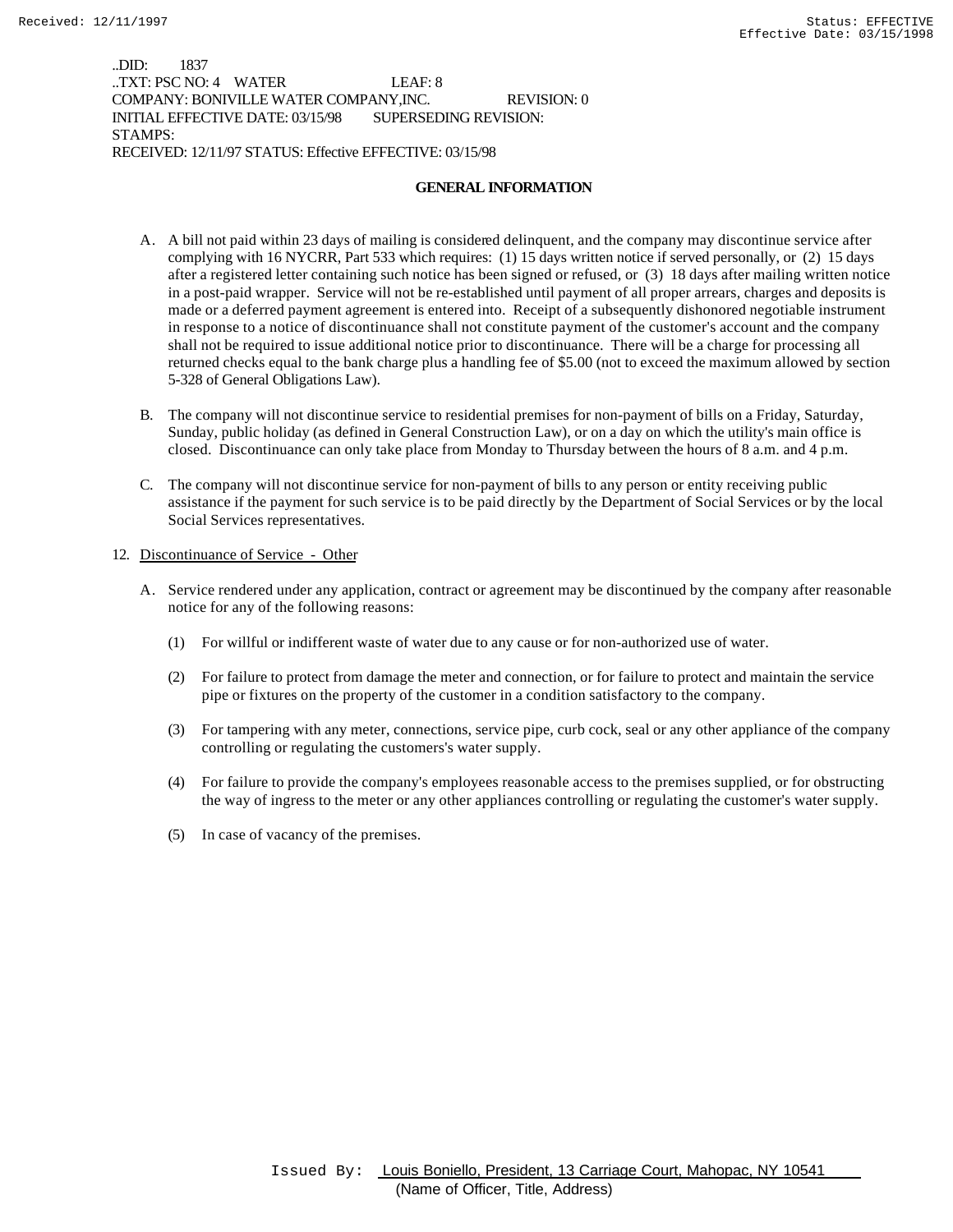..DID: 1837 ..TXT: PSC NO: 4 WATER LEAF: 8 COMPANY: BONIVILLE WATER COMPANY,INC. REVISION: 0 INITIAL EFFECTIVE DATE: 03/15/98 SUPERSEDING REVISION: STAMPS: RECEIVED: 12/11/97 STATUS: Effective EFFECTIVE: 03/15/98

## **GENERAL INFORMATION**

- A. A bill not paid within 23 days of mailing is considered delinquent, and the company may discontinue service after complying with 16 NYCRR, Part 533 which requires: (1) 15 days written notice if served personally, or (2) 15 days after a registered letter containing such notice has been signed or refused, or (3) 18 days after mailing written notice in a post-paid wrapper. Service will not be re-established until payment of all proper arrears, charges and deposits is made or a deferred payment agreement is entered into. Receipt of a subsequently dishonored negotiable instrument in response to a notice of discontinuance shall not constitute payment of the customer's account and the company shall not be required to issue additional notice prior to discontinuance. There will be a charge for processing all returned checks equal to the bank charge plus a handling fee of \$5.00 (not to exceed the maximum allowed by section 5-328 of General Obligations Law).
- B. The company will not discontinue service to residential premises for non-payment of bills on a Friday, Saturday, Sunday, public holiday (as defined in General Construction Law), or on a day on which the utility's main office is closed. Discontinuance can only take place from Monday to Thursday between the hours of 8 a.m. and 4 p.m.
- C. The company will not discontinue service for non-payment of bills to any person or entity receiving public assistance if the payment for such service is to be paid directly by the Department of Social Services or by the local Social Services representatives.

## 12. Discontinuance of Service - Other

- A. Service rendered under any application, contract or agreement may be discontinued by the company after reasonable notice for any of the following reasons:
	- (1) For willful or indifferent waste of water due to any cause or for non-authorized use of water.
	- (2) For failure to protect from damage the meter and connection, or for failure to protect and maintain the service pipe or fixtures on the property of the customer in a condition satisfactory to the company.
	- (3) For tampering with any meter, connections, service pipe, curb cock, seal or any other appliance of the company controlling or regulating the customers's water supply.
	- (4) For failure to provide the company's employees reasonable access to the premises supplied, or for obstructing the way of ingress to the meter or any other appliances controlling or regulating the customer's water supply.
	- (5) In case of vacancy of the premises.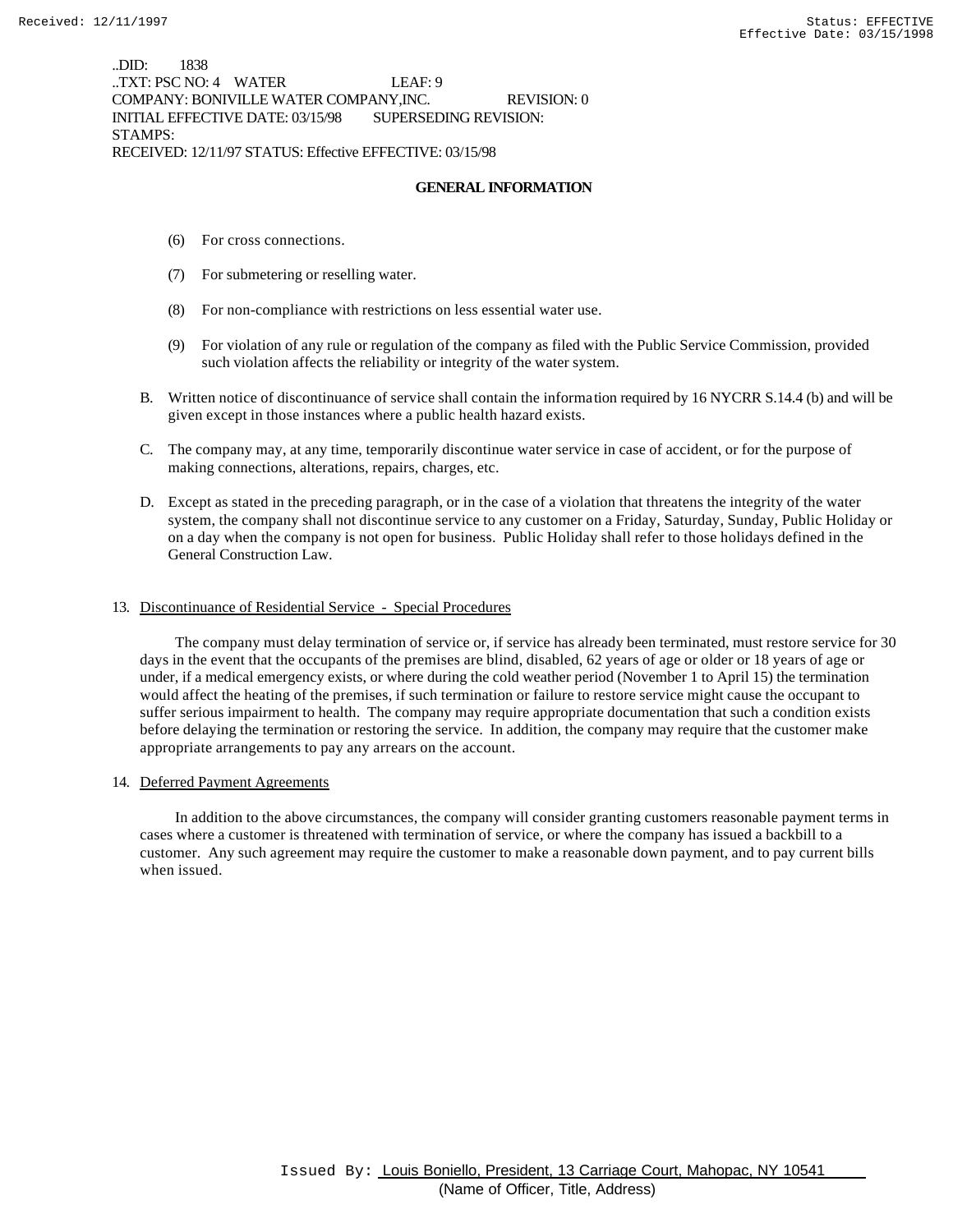..DID: 1838 ..TXT: PSC NO: 4 WATER LEAF: 9 COMPANY: BONIVILLE WATER COMPANY,INC. REVISION: 0 INITIAL EFFECTIVE DATE: 03/15/98 SUPERSEDING REVISION: STAMPS: RECEIVED: 12/11/97 STATUS: Effective EFFECTIVE: 03/15/98

## **GENERAL INFORMATION**

- (6) For cross connections.
- (7) For submetering or reselling water.
- (8) For non-compliance with restrictions on less essential water use.
- (9) For violation of any rule or regulation of the company as filed with the Public Service Commission, provided such violation affects the reliability or integrity of the water system.
- B. Written notice of discontinuance of service shall contain the information required by 16 NYCRR S.14.4 (b) and will be given except in those instances where a public health hazard exists.
- C. The company may, at any time, temporarily discontinue water service in case of accident, or for the purpose of making connections, alterations, repairs, charges, etc.
- D. Except as stated in the preceding paragraph, or in the case of a violation that threatens the integrity of the water system, the company shall not discontinue service to any customer on a Friday, Saturday, Sunday, Public Holiday or on a day when the company is not open for business. Public Holiday shall refer to those holidays defined in the General Construction Law.

## 13. Discontinuance of Residential Service - Special Procedures

 The company must delay termination of service or, if service has already been terminated, must restore service for 30 days in the event that the occupants of the premises are blind, disabled, 62 years of age or older or 18 years of age or under, if a medical emergency exists, or where during the cold weather period (November 1 to April 15) the termination would affect the heating of the premises, if such termination or failure to restore service might cause the occupant to suffer serious impairment to health. The company may require appropriate documentation that such a condition exists before delaying the termination or restoring the service. In addition, the company may require that the customer make appropriate arrangements to pay any arrears on the account.

## 14. Deferred Payment Agreements

 In addition to the above circumstances, the company will consider granting customers reasonable payment terms in cases where a customer is threatened with termination of service, or where the company has issued a backbill to a customer. Any such agreement may require the customer to make a reasonable down payment, and to pay current bills when issued.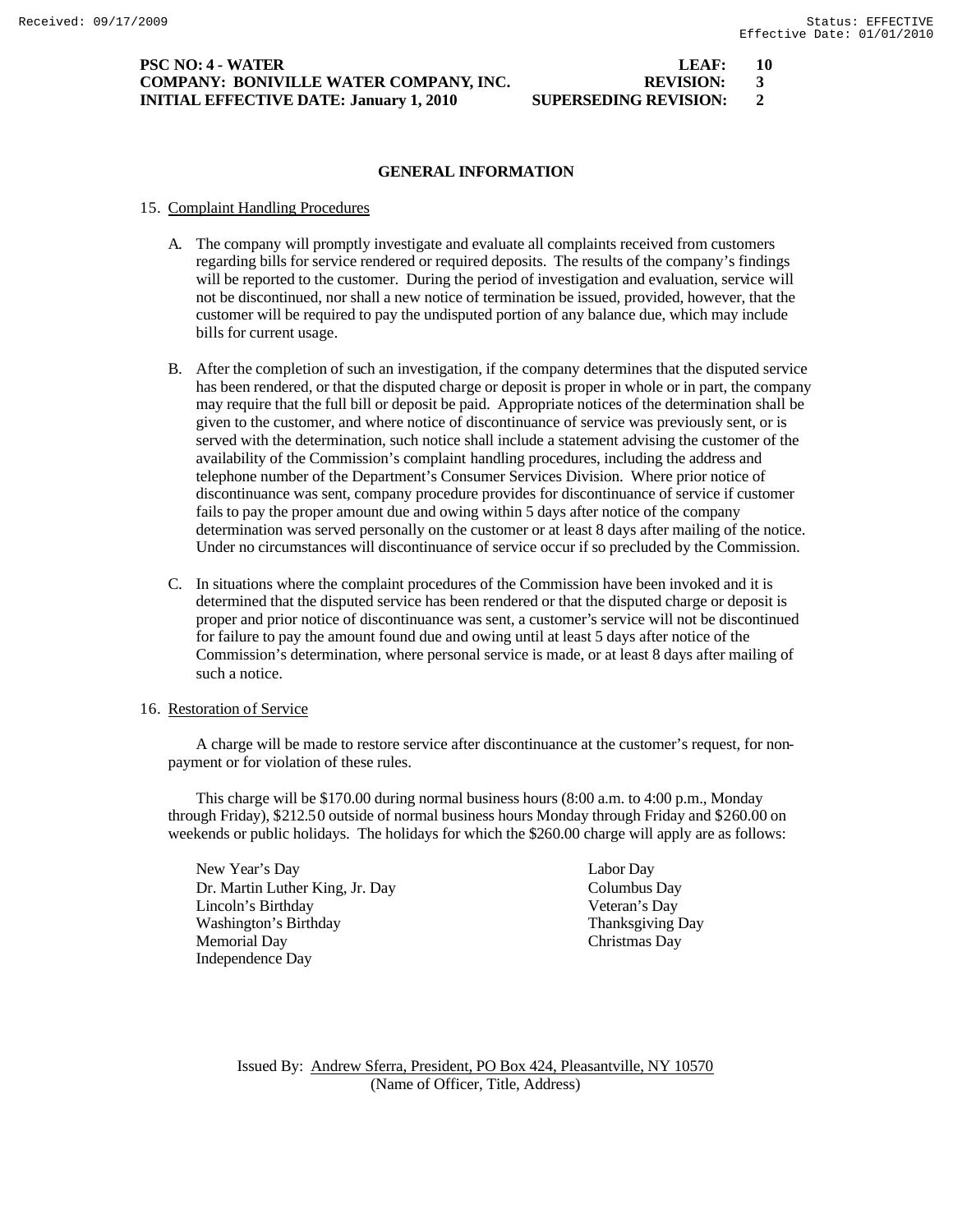## **PSC NO: 4 - WATER LEAF: 10 COMPANY: BONIVILLE WATER COMPANY, INC. REVISION: 3 INITIAL EFFECTIVE DATE: January 1, 2010 SUPERSEDING REVISION: 2**

# **GENERAL INFORMATION**

# 15. Complaint Handling Procedures

- A. The company will promptly investigate and evaluate all complaints received from customers regarding bills for service rendered or required deposits. The results of the company's findings will be reported to the customer. During the period of investigation and evaluation, service will not be discontinued, nor shall a new notice of termination be issued, provided, however, that the customer will be required to pay the undisputed portion of any balance due, which may include bills for current usage.
- B. After the completion of such an investigation, if the company determines that the disputed service has been rendered, or that the disputed charge or deposit is proper in whole or in part, the company may require that the full bill or deposit be paid. Appropriate notices of the determination shall be given to the customer, and where notice of discontinuance of service was previously sent, or is served with the determination, such notice shall include a statement advising the customer of the availability of the Commission's complaint handling procedures, including the address and telephone number of the Department's Consumer Services Division. Where prior notice of discontinuance was sent, company procedure provides for discontinuance of service if customer fails to pay the proper amount due and owing within 5 days after notice of the company determination was served personally on the customer or at least 8 days after mailing of the notice. Under no circumstances will discontinuance of service occur if so precluded by the Commission.
- C. In situations where the complaint procedures of the Commission have been invoked and it is determined that the disputed service has been rendered or that the disputed charge or deposit is proper and prior notice of discontinuance was sent, a customer's service will not be discontinued for failure to pay the amount found due and owing until at least 5 days after notice of the Commission's determination, where personal service is made, or at least 8 days after mailing of such a notice.

# 16. Restoration of Service

A charge will be made to restore service after discontinuance at the customer's request, for nonpayment or for violation of these rules.

This charge will be \$170.00 during normal business hours (8:00 a.m. to 4:00 p.m., Monday through Friday), \$212.50 outside of normal business hours Monday through Friday and \$260.00 on weekends or public holidays. The holidays for which the \$260.00 charge will apply are as follows:

New Year's Day Labor Day Dr. Martin Luther King, Jr. Day Columbus Day Lincoln's Birthday Veteran's Day Washington's Birthday Thanksgiving Day Memorial Day Christmas Day Independence Day

Issued By: Andrew Sferra, President, PO Box 424, Pleasantville, NY 10570 (Name of Officer, Title, Address)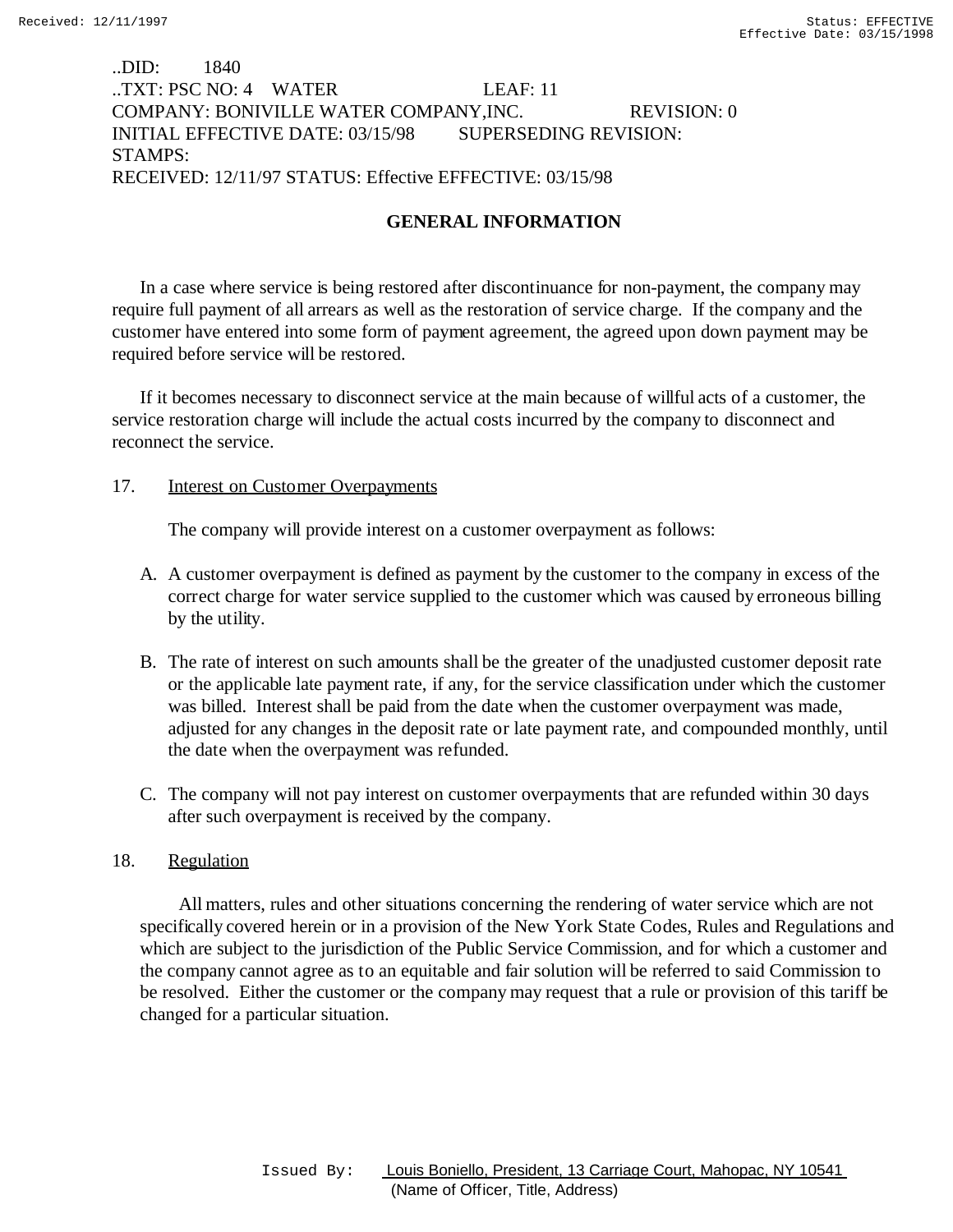# ..DID: 1840 ..TXT: PSC NO: 4 WATER LEAF: 11 COMPANY: BONIVILLE WATER COMPANY,INC. REVISION: 0 INITIAL EFFECTIVE DATE: 03/15/98 SUPERSEDING REVISION: STAMPS: RECEIVED: 12/11/97 STATUS: Effective EFFECTIVE: 03/15/98

# **GENERAL INFORMATION**

In a case where service is being restored after discontinuance for non-payment, the company may require full payment of all arrears as well as the restoration of service charge. If the company and the customer have entered into some form of payment agreement, the agreed upon down payment may be required before service will be restored.

If it becomes necessary to disconnect service at the main because of willful acts of a customer, the service restoration charge will include the actual costs incurred by the company to disconnect and reconnect the service.

# 17. Interest on Customer Overpayments

The company will provide interest on a customer overpayment as follows:

- A. A customer overpayment is defined as payment by the customer to the company in excess of the correct charge for water service supplied to the customer which was caused by erroneous billing by the utility.
- B. The rate of interest on such amounts shall be the greater of the unadjusted customer deposit rate or the applicable late payment rate, if any, for the service classification under which the customer was billed. Interest shall be paid from the date when the customer overpayment was made, adjusted for any changes in the deposit rate or late payment rate, and compounded monthly, until the date when the overpayment was refunded.
- C. The company will not pay interest on customer overpayments that are refunded within 30 days after such overpayment is received by the company.

# 18. Regulation

 All matters, rules and other situations concerning the rendering of water service which are not specifically covered herein or in a provision of the New York State Codes, Rules and Regulations and which are subject to the jurisdiction of the Public Service Commission, and for which a customer and the company cannot agree as to an equitable and fair solution will be referred to said Commission to be resolved. Either the customer or the company may request that a rule or provision of this tariff be changed for a particular situation.